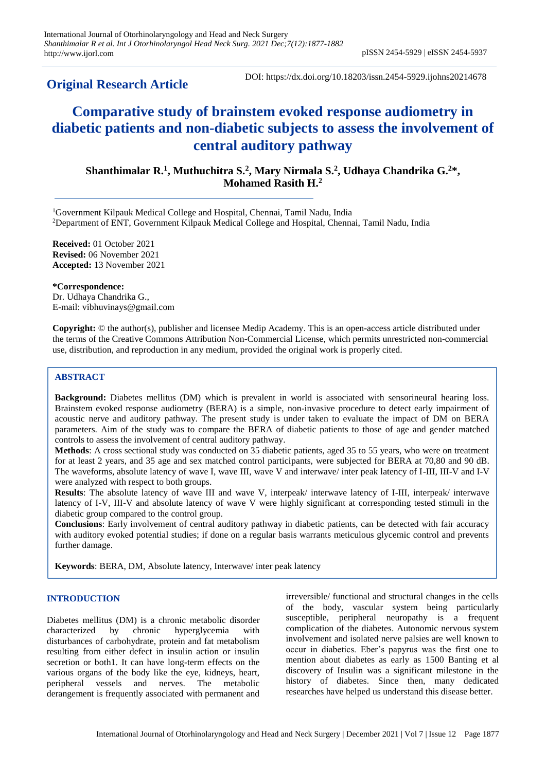# **Original Research Article**

DOI: https://dx.doi.org/10.18203/issn.2454-5929.ijohns20214678

# **Comparative study of brainstem evoked response audiometry in diabetic patients and non-diabetic subjects to assess the involvement of central auditory pathway**

Shanthimalar R.<sup>1</sup>, Muthuchitra S.<sup>2</sup>, Mary Nirmala S.<sup>2</sup>, Udhaya Chandrika G.<sup>2\*</sup>, **Mohamed Rasith H.<sup>2</sup>**

<sup>1</sup>Government Kilpauk Medical College and Hospital, Chennai, Tamil Nadu, India <sup>2</sup>Department of ENT, Government Kilpauk Medical College and Hospital, Chennai, Tamil Nadu, India

**Received:** 01 October 2021 **Revised:** 06 November 2021 **Accepted:** 13 November 2021

**\*Correspondence:** Dr. Udhaya Chandrika G., E-mail: vibhuvinays@gmail.com

**Copyright:** © the author(s), publisher and licensee Medip Academy. This is an open-access article distributed under the terms of the Creative Commons Attribution Non-Commercial License, which permits unrestricted non-commercial use, distribution, and reproduction in any medium, provided the original work is properly cited.

# **ABSTRACT**

**Background:** Diabetes mellitus (DM) which is prevalent in world is associated with sensorineural hearing loss. Brainstem evoked response audiometry (BERA) is a simple, non-invasive procedure to detect early impairment of acoustic nerve and auditory pathway. The present study is under taken to evaluate the impact of DM on BERA parameters. Aim of the study was to compare the BERA of diabetic patients to those of age and gender matched controls to assess the involvement of central auditory pathway.

**Methods**: A cross sectional study was conducted on 35 diabetic patients, aged 35 to 55 years, who were on treatment for at least 2 years, and 35 age and sex matched control participants, were subjected for BERA at 70,80 and 90 dB. The waveforms, absolute latency of wave I, wave III, wave V and interwave/ inter peak latency of I-III, III-V and I-V were analyzed with respect to both groups.

**Results**: The absolute latency of wave III and wave V, interpeak/ interwave latency of I-III, interpeak/ interwave latency of I-V, III-V and absolute latency of wave V were highly significant at corresponding tested stimuli in the diabetic group compared to the control group.

**Conclusions**: Early involvement of central auditory pathway in diabetic patients, can be detected with fair accuracy with auditory evoked potential studies; if done on a regular basis warrants meticulous glycemic control and prevents further damage.

**Keywords**: BERA, DM, Absolute latency, Interwave/ inter peak latency

# **INTRODUCTION**

Diabetes mellitus (DM) is a chronic metabolic disorder characterized by chronic hyperglycemia with disturbances of carbohydrate, protein and fat metabolism resulting from either defect in insulin action or insulin secretion or both1. It can have long-term effects on the various organs of the body like the eye, kidneys, heart, peripheral vessels and nerves. The metabolic derangement is frequently associated with permanent and irreversible/ functional and structural changes in the cells of the body, vascular system being particularly susceptible, peripheral neuropathy is a frequent complication of the diabetes. Autonomic nervous system involvement and isolated nerve palsies are well known to occur in diabetics. Eber's papyrus was the first one to mention about diabetes as early as 1500 Banting et al discovery of Insulin was a significant milestone in the history of diabetes. Since then, many dedicated researches have helped us understand this disease better.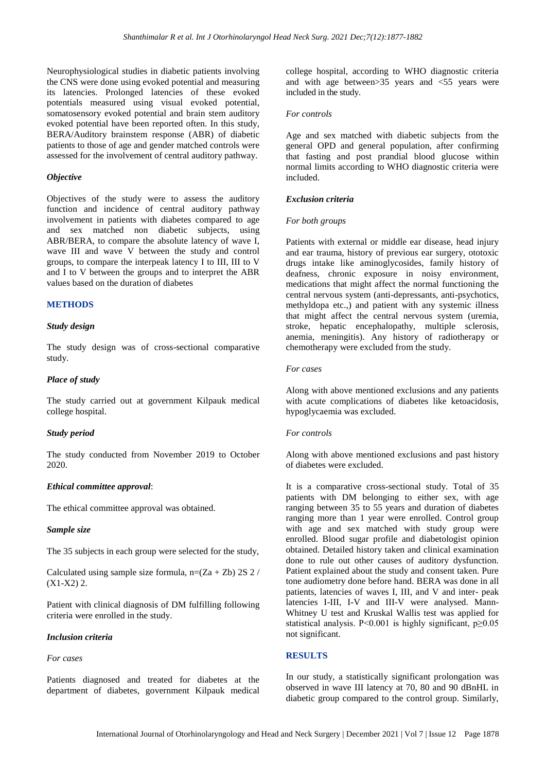Neurophysiological studies in diabetic patients involving the CNS were done using evoked potential and measuring its latencies. Prolonged latencies of these evoked potentials measured using visual evoked potential, somatosensory evoked potential and brain stem auditory evoked potential have been reported often. In this study, BERA/Auditory brainstem response (ABR) of diabetic patients to those of age and gender matched controls were assessed for the involvement of central auditory pathway.

### *Objective*

Objectives of the study were to assess the auditory function and incidence of central auditory pathway involvement in patients with diabetes compared to age and sex matched non diabetic subjects, using ABR/BERA, to compare the absolute latency of wave I, wave III and wave V between the study and control groups, to compare the interpeak latency I to III, III to V and I to V between the groups and to interpret the ABR values based on the duration of diabetes

# **METHODS**

### *Study design*

The study design was of cross-sectional comparative study.

### *Place of study*

The study carried out at government Kilpauk medical college hospital.

### *Study period*

The study conducted from November 2019 to October 2020.

### *Ethical committee approval*:

The ethical committee approval was obtained.

## *Sample size*

The 35 subjects in each group were selected for the study,

Calculated using sample size formula,  $n=(Za + Zb) 2S 2/$  $(X1-X2)$  2.

Patient with clinical diagnosis of DM fulfilling following criteria were enrolled in the study.

### *Inclusion criteria*

## *For cases*

Patients diagnosed and treated for diabetes at the department of diabetes, government Kilpauk medical

college hospital, according to WHO diagnostic criteria and with age between>35 years and <55 years were included in the study.

### *For controls*

Age and sex matched with diabetic subjects from the general OPD and general population, after confirming that fasting and post prandial blood glucose within normal limits according to WHO diagnostic criteria were included.

### *Exclusion criteria*

### *For both groups*

Patients with external or middle ear disease, head injury and ear trauma, history of previous ear surgery, ototoxic drugs intake like aminoglycosides, family history of deafness, chronic exposure in noisy environment, medications that might affect the normal functioning the central nervous system (anti-depressants, anti-psychotics, methyldopa etc.,) and patient with any systemic illness that might affect the central nervous system (uremia, stroke, hepatic encephalopathy, multiple sclerosis, anemia, meningitis). Any history of radiotherapy or chemotherapy were excluded from the study.

### *For cases*

Along with above mentioned exclusions and any patients with acute complications of diabetes like ketoacidosis, hypoglycaemia was excluded.

#### *For controls*

Along with above mentioned exclusions and past history of diabetes were excluded.

It is a comparative cross-sectional study. Total of 35 patients with DM belonging to either sex, with age ranging between 35 to 55 years and duration of diabetes ranging more than 1 year were enrolled. Control group with age and sex matched with study group were enrolled. Blood sugar profile and diabetologist opinion obtained. Detailed history taken and clinical examination done to rule out other causes of auditory dysfunction. Patient explained about the study and consent taken. Pure tone audiometry done before hand. BERA was done in all patients, latencies of waves I, III, and V and inter- peak latencies I-III, I-V and III-V were analysed. Mann-Whitney U test and Kruskal Wallis test was applied for statistical analysis. P<0.001 is highly significant,  $p \ge 0.05$ not significant.

# **RESULTS**

In our study, a statistically significant prolongation was observed in wave III latency at 70, 80 and 90 dBnHL in diabetic group compared to the control group. Similarly,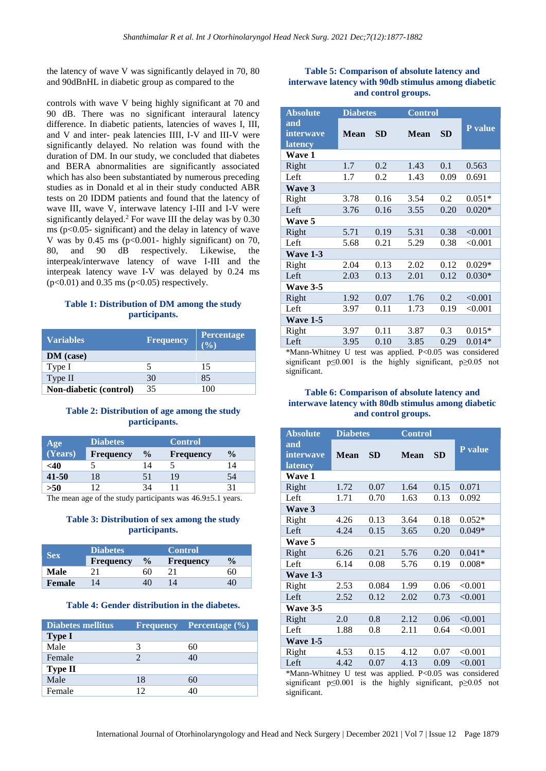the latency of wave V was significantly delayed in 70, 80 and 90dBnHL in diabetic group as compared to the

controls with wave V being highly significant at 70 and 90 dB. There was no significant interaural latency difference. In diabetic patients, latencies of waves I, III, and V and inter- peak latencies IIII, I-V and III-V were significantly delayed. No relation was found with the duration of DM. In our study, we concluded that diabetes and BERA abnormalities are significantly associated which has also been substantiated by numerous preceding studies as in Donald et al in their study conducted ABR tests on 20 IDDM patients and found that the latency of wave III, wave V, interwave latency I-III and I-V were significantly delayed.<sup>2</sup> For wave III the delay was by 0.30 ms ( $p<0.05$ - significant) and the delay in latency of wave V was by  $0.45$  ms (p<0.001- highly significant) on 70, 80, and 90 dB respectively. Likewise, the interpeak/interwave latency of wave I-III and the interpeak latency wave I-V was delayed by 0.24 ms  $(p<0.01)$  and 0.35 ms  $(p<0.05)$  respectively.

# **Table 1: Distribution of DM among the study participants.**

| <b>Variables</b>       | <b>Frequency</b> | <b>Percentage</b><br>$($ %) |
|------------------------|------------------|-----------------------------|
| DM (case)              |                  |                             |
| Type I                 | 5                | 15                          |
| Type II                | 30               | 85                          |
| Non-diabetic (control) | 35               | 100                         |

# **Table 2: Distribution of age among the study participants.**

| Age       | <b>Diabetes</b>  |               |                  |               |
|-----------|------------------|---------------|------------------|---------------|
| (Years)   | <b>Frequency</b> | $\frac{0}{0}$ | <b>Frequency</b> | $\frac{0}{0}$ |
| <40       |                  | 14            |                  | 14            |
| $41 - 50$ | 18               | 51            | 19               | 54            |
| >50       |                  | 34            |                  |               |
|           |                  |               |                  |               |

The mean age of the study participants was  $46.9 \pm 5.1$  years.

# **Table 3: Distribution of sex among the study participants.**

| <b>Sex</b>    | <b>Diabetes</b>  |               | <b>Control</b>   |               |  |  |
|---------------|------------------|---------------|------------------|---------------|--|--|
|               | <b>Frequency</b> | $\frac{0}{0}$ | <b>Frequency</b> | $\frac{1}{2}$ |  |  |
| Male          |                  | 60            | 21               | 60            |  |  |
| <b>Female</b> |                  |               | 14               | 4U            |  |  |

# **Table 4: Gender distribution in the diabetes.**

| Diabetes mellitus |    | <b>Frequency</b> Percentage (%) |
|-------------------|----|---------------------------------|
| <b>Type I</b>     |    |                                 |
| Male              | 3  | 60                              |
| Female            |    | 40                              |
| <b>Type II</b>    |    |                                 |
| Male              | 18 | 60                              |
| Female            | 12 | 40                              |

# **Table 5: Comparison of absolute latency and interwave latency with 90db stimulus among diabetic and control groups.**

| <b>Absolute</b>                    | <b>Diabetes</b> |           | <b>Control</b> |           |          |
|------------------------------------|-----------------|-----------|----------------|-----------|----------|
| and<br>interwave<br><b>latency</b> | <b>Mean</b>     | <b>SD</b> | <b>Mean</b>    | <b>SD</b> | P value  |
| <b>Wave 1</b>                      |                 |           |                |           |          |
| Right                              | 1.7             | 0.2       | 1.43           | 0.1       | 0.563    |
| Left                               | 1.7             | 0.2       | 1.43           | 0.09      | 0.691    |
| Wave 3                             |                 |           |                |           |          |
| Right                              | 3.78            | 0.16      | 3.54           | 0.2       | $0.051*$ |
| Left                               | 3.76            | 0.16      | 3.55           | 0.20      | $0.020*$ |
| Wave 5                             |                 |           |                |           |          |
| Right                              | 5.71            | 0.19      | 5.31           | 0.38      | < 0.001  |
| Left                               | 5.68            | 0.21      | 5.29           | 0.38      | < 0.001  |
| Wave 1-3                           |                 |           |                |           |          |
| Right                              | 2.04            | 0.13      | 2.02           | 0.12      | $0.029*$ |
| Left                               | 2.03            | 0.13      | 2.01           | 0.12      | $0.030*$ |
| <b>Wave 3-5</b>                    |                 |           |                |           |          |
| Right                              | 1.92            | 0.07      | 1.76           | 0.2       | < 0.001  |
| Left                               | 3.97            | 0.11      | 1.73           | 0.19      | < 0.001  |
| <b>Wave 1-5</b>                    |                 |           |                |           |          |
| Right                              | 3.97            | 0.11      | 3.87           | 0.3       | $0.015*$ |
| Left                               | 3.95            | 0.10      | 3.85           | 0.29      | $0.014*$ |

\*Mann-Whitney U test was applied. P<0.05 was considered significant p≤0.001 is the highly significant, p≥0.05 not significant.

# **Table 6: Comparison of absolute latency and interwave latency with 80db stimulus among diabetic and control groups.**

| <b>Absolute</b>                    | <b>Diabetes</b> | <b>Control</b> |             |           |          |  |
|------------------------------------|-----------------|----------------|-------------|-----------|----------|--|
| and<br>interwave<br><b>latency</b> | <b>Mean</b>     | <b>SD</b>      | <b>Mean</b> | <b>SD</b> | P value  |  |
| <b>Wave 1</b>                      |                 |                |             |           |          |  |
| Right                              | 1.72            | 0.07           | 1.64        | 0.15      | 0.071    |  |
| Left                               | 1.71            | 0.70           | 1.63        | 0.13      | 0.092    |  |
| Wave 3                             |                 |                |             |           |          |  |
| Right                              | 4.26            | 0.13           | 3.64        | 0.18      | $0.052*$ |  |
| Left                               | 4.24            | 0.15           | 3.65        | 0.20      | $0.049*$ |  |
| Wave 5                             |                 |                |             |           |          |  |
| Right                              | 6.26            | 0.21           | 5.76        | 0.20      | $0.041*$ |  |
| Left                               | 6.14            | 0.08           | 5.76        | 0.19      | $0.008*$ |  |
| Wave 1-3                           |                 |                |             |           |          |  |
| Right                              | 2.53            | 0.084          | 1.99        | 0.06      | < 0.001  |  |
| Left                               | 2.52            | 0.12           | 2.02        | 0.73      | < 0.001  |  |
| <b>Wave 3-5</b>                    |                 |                |             |           |          |  |
| Right                              | 2.0             | 0.8            | 2.12        | 0.06      | < 0.001  |  |
| Left                               | 1.88            | 0.8            | 2.11        | 0.64      | < 0.001  |  |
| <b>Wave 1-5</b>                    |                 |                |             |           |          |  |
| Right                              | 4.53            | 0.15           | 4.12        | 0.07      | < 0.001  |  |
| Left                               | 4.42            | 0.07           | 4.13        | 0.09      | < 0.001  |  |

\*Mann-Whitney U test was applied. P<0.05 was considered significant p≤0.001 is the highly significant, p≥0.05 not significant.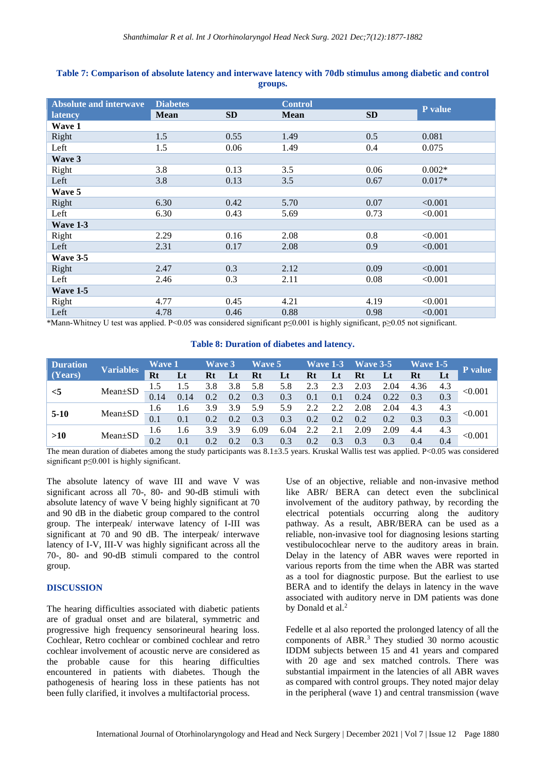| <b>Absolute and interwave</b>                                                                                                                                                                                                                                                                                                           | <b>Diabetes</b>                            |           | <b>Control</b>                                                                                                                                                |           |          |
|-----------------------------------------------------------------------------------------------------------------------------------------------------------------------------------------------------------------------------------------------------------------------------------------------------------------------------------------|--------------------------------------------|-----------|---------------------------------------------------------------------------------------------------------------------------------------------------------------|-----------|----------|
| latency                                                                                                                                                                                                                                                                                                                                 | <b>Mean</b>                                | <b>SD</b> | <b>Mean</b>                                                                                                                                                   | <b>SD</b> | P value  |
| Wave 1                                                                                                                                                                                                                                                                                                                                  |                                            |           |                                                                                                                                                               |           |          |
| Right                                                                                                                                                                                                                                                                                                                                   | 1.5                                        | 0.55      | 1.49                                                                                                                                                          | 0.5       | 0.081    |
| Left                                                                                                                                                                                                                                                                                                                                    | 1.5                                        | 0.06      | 1.49                                                                                                                                                          | 0.4       | 0.075    |
| Wave 3                                                                                                                                                                                                                                                                                                                                  |                                            |           |                                                                                                                                                               |           |          |
| Right                                                                                                                                                                                                                                                                                                                                   | 3.8                                        | 0.13      | 3.5                                                                                                                                                           | 0.06      | $0.002*$ |
| Left                                                                                                                                                                                                                                                                                                                                    | 3.8                                        | 0.13      | 3.5                                                                                                                                                           | 0.67      | $0.017*$ |
| Wave 5                                                                                                                                                                                                                                                                                                                                  |                                            |           |                                                                                                                                                               |           |          |
| Right                                                                                                                                                                                                                                                                                                                                   | 6.30                                       | 0.42      | 5.70                                                                                                                                                          | 0.07      | < 0.001  |
| Left                                                                                                                                                                                                                                                                                                                                    | 6.30                                       | 0.43      | 5.69                                                                                                                                                          | 0.73      | < 0.001  |
| Wave 1-3                                                                                                                                                                                                                                                                                                                                |                                            |           |                                                                                                                                                               |           |          |
| Right                                                                                                                                                                                                                                                                                                                                   | 2.29                                       | 0.16      | 2.08                                                                                                                                                          | 0.8       | < 0.001  |
| Left                                                                                                                                                                                                                                                                                                                                    | 2.31                                       | 0.17      | 2.08                                                                                                                                                          | 0.9       | < 0.001  |
| Wave 3-5                                                                                                                                                                                                                                                                                                                                |                                            |           |                                                                                                                                                               |           |          |
| Right                                                                                                                                                                                                                                                                                                                                   | 2.47                                       | 0.3       | 2.12                                                                                                                                                          | 0.09      | < 0.001  |
| Left                                                                                                                                                                                                                                                                                                                                    | 2.46                                       | 0.3       | 2.11                                                                                                                                                          | 0.08      | < 0.001  |
| Wave 1-5                                                                                                                                                                                                                                                                                                                                |                                            |           |                                                                                                                                                               |           |          |
| Right                                                                                                                                                                                                                                                                                                                                   | 4.77                                       | 0.45      | 4.21                                                                                                                                                          | 4.19      | < 0.001  |
| Left<br>$\star\star$ , $\star\star$ , $\star$ , $\star$ , $\star$ , $\star$ , $\star$ , $\star$ , $\star$ , $\star$ , $\star$ , $\star$ , $\star$ , $\star$ , $\star$ , $\star$ , $\star$ , $\star$ , $\star$ , $\star$ , $\star$ , $\star$ , $\star$ , $\star$ , $\star$ , $\star$ , $\star$ , $\star$ , $\star$ , $\star$ , $\star$ , | 4.78<br>$1'$ 1 D $\triangle$ 0 $\triangle$ | 0.46      | 0.88<br>$(1 \quad 1 \quad 1 \quad 1)$ $(2 \quad 1 \quad 2)$ $(0 \quad 0 \quad 1 \quad 1 \quad 1 \quad 1 \quad 1)$ $(2 \quad 1 \quad 2)$ $(3 \quad 2 \quad 1)$ | 0.98      | < 0.001  |

# **Table 7: Comparison of absolute latency and interwave latency with 70db stimulus among diabetic and control groups.**

\*Mann-Whitney U test was applied. P<0.05 was considered significant p≤0.001 is highly significant, p≥0.05 not significant.

# **Table 8: Duration of diabetes and latency.**

| <b>Duration</b><br><b>Variables</b> |               | <b>Wave 1</b><br><b>Wave 3</b> |      | Wave 5        |     | Wave $1-3$ |      | $\mathbf{W}$ ave 3-5 |           | <b>Wave 1-5</b> |      | P value |     |         |
|-------------------------------------|---------------|--------------------------------|------|---------------|-----|------------|------|----------------------|-----------|-----------------|------|---------|-----|---------|
| $\vert$ (Years)                     |               | Rt                             | Lt   | Rt            |     | Rt         | Lt   | <b>Rt</b>            | $\bf{L}t$ | Rt              | Lt   | Rt      |     |         |
| $<$ 5                               |               | 1.5                            | 1.5  | 3.8           | 3.8 | 5.8        | 5.8  | 2.3                  | 2.3       | 2.03            | 2.04 | 4.36    | 4.3 |         |
|                                     | Mean±SD       | 0.14                           | 0.14 | 0.2           | 0.2 | 0.3        | 0.3  | 0.1                  | 0.1       | 0.24            | 0.22 | 0.3     | 0.3 | < 0.001 |
|                                     |               | 1.6                            | 1.6  | 3.9           | 3.9 | 5.9        | 5.9  | 2.2                  | 2.2       | 2.08            | 2.04 | 4.3     | 4.3 | < 0.001 |
| $5-10$                              | $Mean \pm SD$ | 0.1                            | 0.1  | $0.2^{\circ}$ | 0.2 | 0.3        | 0.3  | 0.2                  | 0.2       | 0.2             | 0.2  | 0.3     | 0.3 |         |
|                                     |               | 1.6                            | 1.6  | 3.9           | 3.9 | 6.09       | 6.04 | 2.2                  | 2.1       | 2.09            | 2.09 | 4.4     | 4.3 |         |
| >10                                 | $Mean \pm SD$ | 0.2                            | 0.1  | 0.2           | 0.2 | 0.3        | 0.3  | 0.2                  | 0.3       | 0.3             | 0.3  | 0.4     | 0.4 | < 0.001 |

The mean duration of diabetes among the study participants was 8.1±3.5 years. Kruskal Wallis test was applied. P<0.05 was considered significant p≤0.001 is highly significant.

The absolute latency of wave III and wave V was significant across all 70-, 80- and 90-dB stimuli with absolute latency of wave V being highly significant at 70 and 90 dB in the diabetic group compared to the control group. The interpeak/ interwave latency of I-III was significant at 70 and 90 dB. The interpeak/ interwave latency of I-V, III-V was highly significant across all the 70-, 80- and 90-dB stimuli compared to the control group.

# **DISCUSSION**

The hearing difficulties associated with diabetic patients are of gradual onset and are bilateral, symmetric and progressive high frequency sensorineural hearing loss. Cochlear, Retro cochlear or combined cochlear and retro cochlear involvement of acoustic nerve are considered as the probable cause for this hearing difficulties encountered in patients with diabetes. Though the pathogenesis of hearing loss in these patients has not been fully clarified, it involves a multifactorial process.

Use of an objective, reliable and non-invasive method like ABR/ BERA can detect even the subclinical involvement of the auditory pathway, by recording the electrical potentials occurring along the auditory pathway. As a result, ABR/BERA can be used as a reliable, non-invasive tool for diagnosing lesions starting vestibulocochlear nerve to the auditory areas in brain. Delay in the latency of ABR waves were reported in various reports from the time when the ABR was started as a tool for diagnostic purpose. But the earliest to use BERA and to identify the delays in latency in the wave associated with auditory nerve in DM patients was done by Donald et al.<sup>2</sup>

Fedelle et al also reported the prolonged latency of all the components of ABR.<sup>3</sup> They studied 30 normo acoustic IDDM subjects between 15 and 41 years and compared with 20 age and sex matched controls. There was substantial impairment in the latencies of all ABR waves as compared with control groups. They noted major delay in the peripheral (wave 1) and central transmission (wave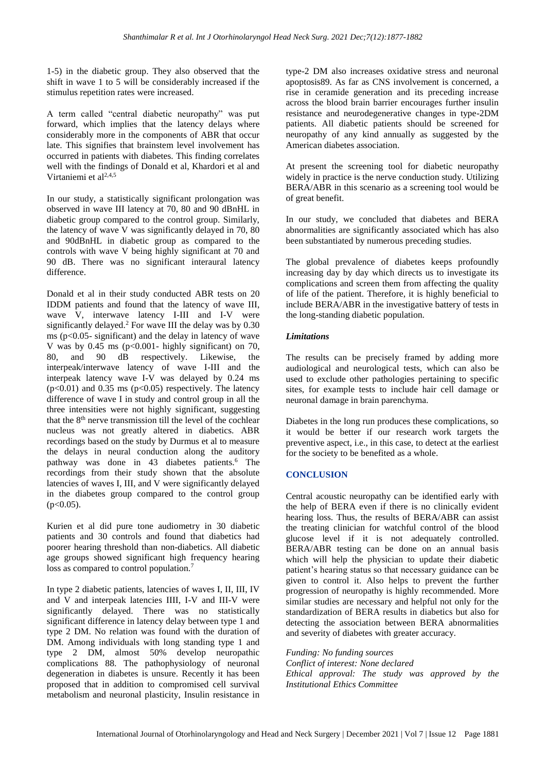1-5) in the diabetic group. They also observed that the shift in wave 1 to 5 will be considerably increased if the stimulus repetition rates were increased.

A term called "central diabetic neuropathy" was put forward, which implies that the latency delays where considerably more in the components of ABR that occur late. This signifies that brainstem level involvement has occurred in patients with diabetes. This finding correlates well with the findings of Donald et al, Khardori et al and Virtaniemi et al<sup>2,4,5</sup>

In our study, a statistically significant prolongation was observed in wave III latency at 70, 80 and 90 dBnHL in diabetic group compared to the control group. Similarly, the latency of wave V was significantly delayed in 70, 80 and 90dBnHL in diabetic group as compared to the controls with wave V being highly significant at 70 and 90 dB. There was no significant interaural latency difference.

Donald et al in their study conducted ABR tests on 20 IDDM patients and found that the latency of wave III, wave V, interwave latency I-III and I-V were significantly delayed.<sup>2</sup> For wave III the delay was by 0.30 ms ( $p<0.05$ - significant) and the delay in latency of wave V was by 0.45 ms  $(p<0.001 - highly significant)$  on 70, 80, and 90 dB respectively. Likewise, the interpeak/interwave latency of wave I-III and the interpeak latency wave I-V was delayed by 0.24 ms  $(p<0.01)$  and 0.35 ms  $(p<0.05)$  respectively. The latency difference of wave I in study and control group in all the three intensities were not highly significant, suggesting that the 8th nerve transmission till the level of the cochlear nucleus was not greatly altered in diabetics. ABR recordings based on the study by Durmus et al to measure the delays in neural conduction along the auditory pathway was done in 43 diabetes patients.<sup>6</sup> The recordings from their study shown that the absolute latencies of waves I, III, and V were significantly delayed in the diabetes group compared to the control group  $(p<0.05)$ .

Kurien et al did pure tone audiometry in 30 diabetic patients and 30 controls and found that diabetics had poorer hearing threshold than non-diabetics. All diabetic age groups showed significant high frequency hearing loss as compared to control population.<sup>7</sup>

In type 2 diabetic patients, latencies of waves I, II, III, IV and V and interpeak latencies IIII, I-V and III-V were significantly delayed. There was no statistically significant difference in latency delay between type 1 and type 2 DM. No relation was found with the duration of DM. Among individuals with long standing type 1 and type 2 DM, almost 50% develop neuropathic complications 88. The pathophysiology of neuronal degeneration in diabetes is unsure. Recently it has been proposed that in addition to compromised cell survival metabolism and neuronal plasticity, Insulin resistance in type-2 DM also increases oxidative stress and neuronal apoptosis89. As far as CNS involvement is concerned, a rise in ceramide generation and its preceding increase across the blood brain barrier encourages further insulin resistance and neurodegenerative changes in type-2DM patients. All diabetic patients should be screened for neuropathy of any kind annually as suggested by the American diabetes association.

At present the screening tool for diabetic neuropathy widely in practice is the nerve conduction study. Utilizing BERA/ABR in this scenario as a screening tool would be of great benefit.

In our study, we concluded that diabetes and BERA abnormalities are significantly associated which has also been substantiated by numerous preceding studies.

The global prevalence of diabetes keeps profoundly increasing day by day which directs us to investigate its complications and screen them from affecting the quality of life of the patient. Therefore, it is highly beneficial to include BERA/ABR in the investigative battery of tests in the long-standing diabetic population.

# *Limitations*

The results can be precisely framed by adding more audiological and neurological tests, which can also be used to exclude other pathologies pertaining to specific sites, for example tests to include hair cell damage or neuronal damage in brain parenchyma.

Diabetes in the long run produces these complications, so it would be better if our research work targets the preventive aspect, i.e., in this case, to detect at the earliest for the society to be benefited as a whole.

# **CONCLUSION**

Central acoustic neuropathy can be identified early with the help of BERA even if there is no clinically evident hearing loss. Thus, the results of BERA/ABR can assist the treating clinician for watchful control of the blood glucose level if it is not adequately controlled. BERA/ABR testing can be done on an annual basis which will help the physician to update their diabetic patient's hearing status so that necessary guidance can be given to control it. Also helps to prevent the further progression of neuropathy is highly recommended. More similar studies are necessary and helpful not only for the standardization of BERA results in diabetics but also for detecting the association between BERA abnormalities and severity of diabetes with greater accuracy.

*Funding: No funding sources*

*Conflict of interest: None declared Ethical approval: The study was approved by the Institutional Ethics Committee*